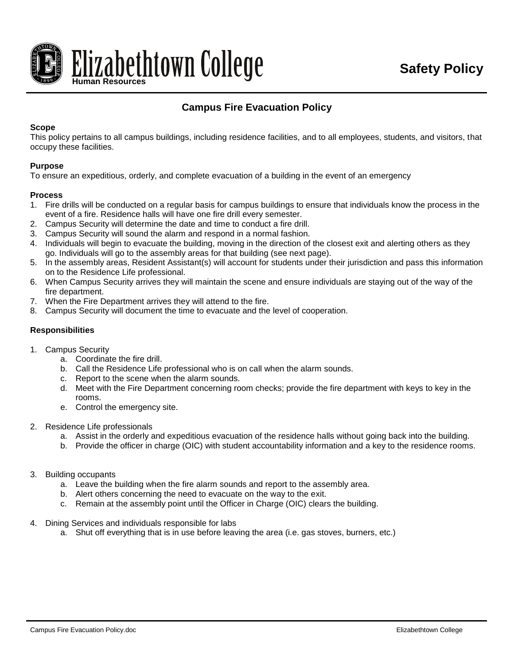

# **Campus Fire Evacuation Policy**

#### **Scope**

This policy pertains to all campus buildings, including residence facilities, and to all employees, students, and visitors, that occupy these facilities.

### **Purpose**

To ensure an expeditious, orderly, and complete evacuation of a building in the event of an emergency

#### **Process**

- 1. Fire drills will be conducted on a regular basis for campus buildings to ensure that individuals know the process in the event of a fire. Residence halls will have one fire drill every semester.
- 2. Campus Security will determine the date and time to conduct a fire drill.
- 3. Campus Security will sound the alarm and respond in a normal fashion.
- 4. Individuals will begin to evacuate the building, moving in the direction of the closest exit and alerting others as they go. Individuals will go to the assembly areas for that building (see next page).
- 5. In the assembly areas, Resident Assistant(s) will account for students under their jurisdiction and pass this information on to the Residence Life professional.
- 6. When Campus Security arrives they will maintain the scene and ensure individuals are staying out of the way of the fire department.
- 7. When the Fire Department arrives they will attend to the fire.
- 8. Campus Security will document the time to evacuate and the level of cooperation.

### **Responsibilities**

- 1. Campus Security
	- a. Coordinate the fire drill.
	- b. Call the Residence Life professional who is on call when the alarm sounds.
	- c. Report to the scene when the alarm sounds.
	- d. Meet with the Fire Department concerning room checks; provide the fire department with keys to key in the rooms.
	- e. Control the emergency site.
- 2. Residence Life professionals
	- a. Assist in the orderly and expeditious evacuation of the residence halls without going back into the building.
	- b. Provide the officer in charge (OIC) with student accountability information and a key to the residence rooms.
- 3. Building occupants
	- a. Leave the building when the fire alarm sounds and report to the assembly area.
	- b. Alert others concerning the need to evacuate on the way to the exit.
	- c. Remain at the assembly point until the Officer in Charge (OIC) clears the building.
- 4. Dining Services and individuals responsible for labs
	- a. Shut off everything that is in use before leaving the area (i.e. gas stoves, burners, etc.)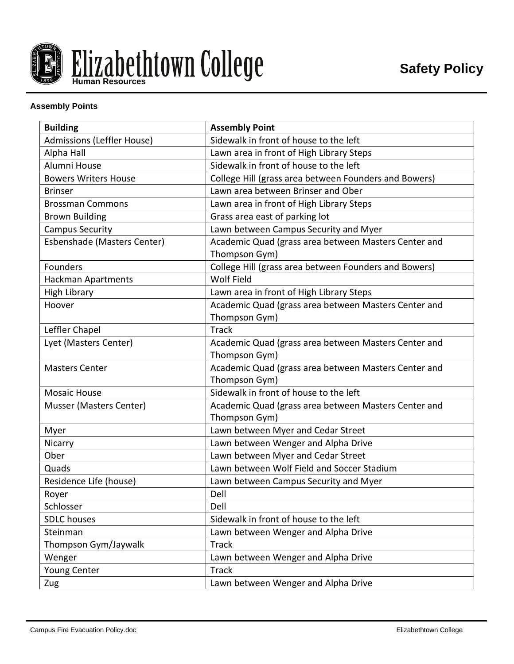

# **Assembly Points**

| <b>Building</b>             | <b>Assembly Point</b>                                                 |
|-----------------------------|-----------------------------------------------------------------------|
| Admissions (Leffler House)  | Sidewalk in front of house to the left                                |
| Alpha Hall                  | Lawn area in front of High Library Steps                              |
| Alumni House                | Sidewalk in front of house to the left                                |
| <b>Bowers Writers House</b> | College Hill (grass area between Founders and Bowers)                 |
| <b>Brinser</b>              | Lawn area between Brinser and Ober                                    |
| <b>Brossman Commons</b>     | Lawn area in front of High Library Steps                              |
| <b>Brown Building</b>       | Grass area east of parking lot                                        |
| <b>Campus Security</b>      | Lawn between Campus Security and Myer                                 |
| Esbenshade (Masters Center) | Academic Quad (grass area between Masters Center and<br>Thompson Gym) |
| Founders                    | College Hill (grass area between Founders and Bowers)                 |
| Hackman Apartments          | <b>Wolf Field</b>                                                     |
| <b>High Library</b>         | Lawn area in front of High Library Steps                              |
| Hoover                      | Academic Quad (grass area between Masters Center and                  |
|                             | Thompson Gym)                                                         |
| Leffler Chapel              | <b>Track</b>                                                          |
| Lyet (Masters Center)       | Academic Quad (grass area between Masters Center and                  |
|                             | Thompson Gym)                                                         |
| <b>Masters Center</b>       | Academic Quad (grass area between Masters Center and                  |
|                             | Thompson Gym)                                                         |
| <b>Mosaic House</b>         | Sidewalk in front of house to the left                                |
| Musser (Masters Center)     | Academic Quad (grass area between Masters Center and<br>Thompson Gym) |
| Myer                        | Lawn between Myer and Cedar Street                                    |
| Nicarry                     | Lawn between Wenger and Alpha Drive                                   |
| Ober                        | Lawn between Myer and Cedar Street                                    |
| Quads                       | Lawn between Wolf Field and Soccer Stadium                            |
| Residence Life (house)      | Lawn between Campus Security and Myer                                 |
| Royer                       | Dell                                                                  |
| Schlosser                   | Dell                                                                  |
| <b>SDLC</b> houses          | Sidewalk in front of house to the left                                |
| Steinman                    | Lawn between Wenger and Alpha Drive                                   |
| Thompson Gym/Jaywalk        | <b>Track</b>                                                          |
| Wenger                      | Lawn between Wenger and Alpha Drive                                   |
| Young Center                | <b>Track</b>                                                          |
| Zug                         | Lawn between Wenger and Alpha Drive                                   |